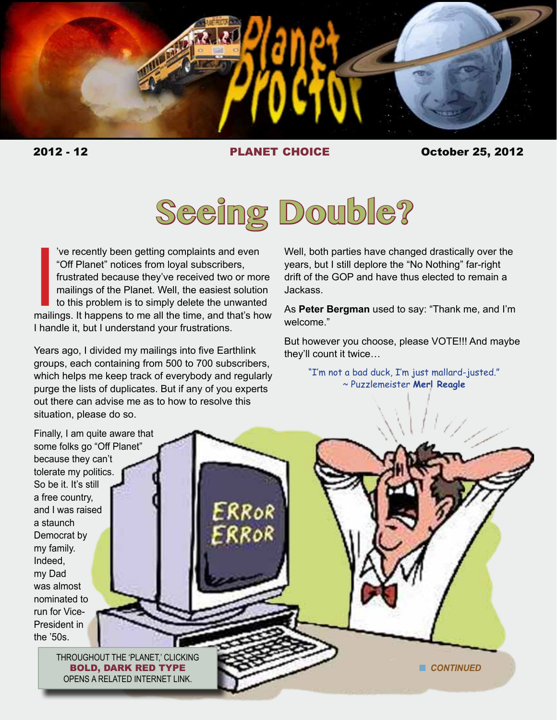

2012 - 12 PLANET CHOICE October 25, 2012



Ve recently been getting complaints and even<br>
"Off Planet" notices from loyal subscribers,<br>
frustrated because they've received two or more<br>
mailings of the Planet. Well, the easiest solution<br>
to this problem is to simply 've recently been getting complaints and even "Off Planet" notices from loyal subscribers, frustrated because they've received two or more mailings of the Planet. Well, the easiest solution to this problem is to simply delete the unwanted I handle it, but I understand your frustrations.

Years ago, I divided my mailings into five Earthlink groups, each containing from 500 to 700 subscribers, which helps me keep track of everybody and regularly purge the lists of duplicates. But if any of you experts out there can advise me as to how to resolve this situation, please do so.

Well, both parties have changed drastically over the years, but I still deplore the "No Nothing" far-right drift of the GOP and have thus elected to remain a Jackass.

As **Peter Bergman** used to say: "Thank me, and I'm welcome."

But however you choose, please VOTE!!! And maybe they'll count it twice…

> "I'm not a bad duck, I'm just mallard-justed." ~ Puzzlemeister **Merl Reagle**

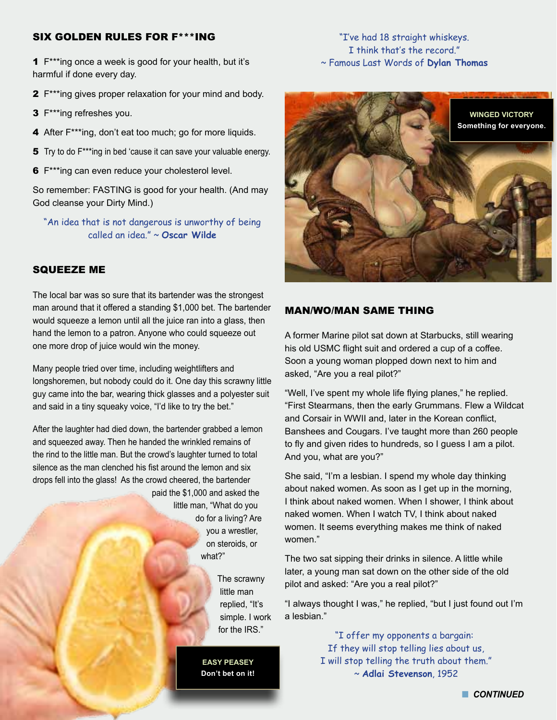#### SIX GOLDEN RULES FOR F\*\*\*ING

1 F\*\*\*ing once a week is good for your health, but it's harmful if done every day.

- 2 F\*\*\*ing gives proper relaxation for your mind and body.
- 3 F\*\*\*ing refreshes you.
- 4 After F\*\*\*ing, don't eat too much; go for more liquids.
- **5** Try to do F<sup>\*\*\*</sup>ing in bed 'cause it can save your valuable energy.
- **6** F<sup>\*\*\*</sup>ing can even reduce your cholesterol level.

So remember: FASTING is good for your health. (And may God cleanse your Dirty Mind.)

"An idea that is not dangerous is unworthy of being called an idea." ~ **Oscar Wilde**

## SQUEEZE ME

The local bar was so sure that its bartender was the strongest man around that it offered a standing \$1,000 bet. The bartender would squeeze a lemon until all the juice ran into a glass, then hand the lemon to a patron. Anyone who could squeeze out one more drop of juice would win the money.

Many people tried over time, including weightlifters and longshoremen, but nobody could do it. One day this scrawny little guy came into the bar, wearing thick glasses and a polyester suit and said in a tiny squeaky voice, "I'd like to try the bet."

After the laughter had died down, the bartender grabbed a lemon and squeezed away. Then he handed the wrinkled remains of the rind to the little man. But the crowd's laughter turned to total silence as the man clenched his fist around the lemon and six drops fell into the glass! As the crowd cheered, the bartender paid the \$1,000 and asked the

> little man, "What do you do for a living? Are you a wrestler, on steroids, or what?"

> > The scrawny little man replied, "It's simple. I work for the IRS"

**EASY PEASEY Don't bet on it!**

## "I've had 18 straight whiskeys. I think that's the record." ~ Famous Last Words of **Dylan Thomas**



#### MAN/WO/MAN SAME THING

A former Marine pilot sat down at Starbucks, still wearing his old USMC flight suit and ordered a cup of a coffee. Soon a young woman plopped down next to him and asked, "Are you a real pilot?"

"Well, I've spent my whole life flying planes," he replied. "First Stearmans, then the early Grummans. Flew a Wildcat and Corsair in WWII and, later in the Korean conflict, Banshees and Cougars. I've taught more than 260 people to fly and given rides to hundreds, so I guess I am a pilot. And you, what are you?"

She said, "I'm a lesbian. I spend my whole day thinking about naked women. As soon as I get up in the morning, I think about naked women. When I shower, I think about naked women. When I watch TV, I think about naked women. It seems everything makes me think of naked women."

The two sat sipping their drinks in silence. A little while later, a young man sat down on the other side of the old pilot and asked: "Are you a real pilot?"

"I always thought I was," he replied, "but I just found out I'm a lesbian."

> "I offer my opponents a bargain: If they will stop telling lies about us, I will stop telling the truth about them." ~ **Adlai Stevenson**, 1952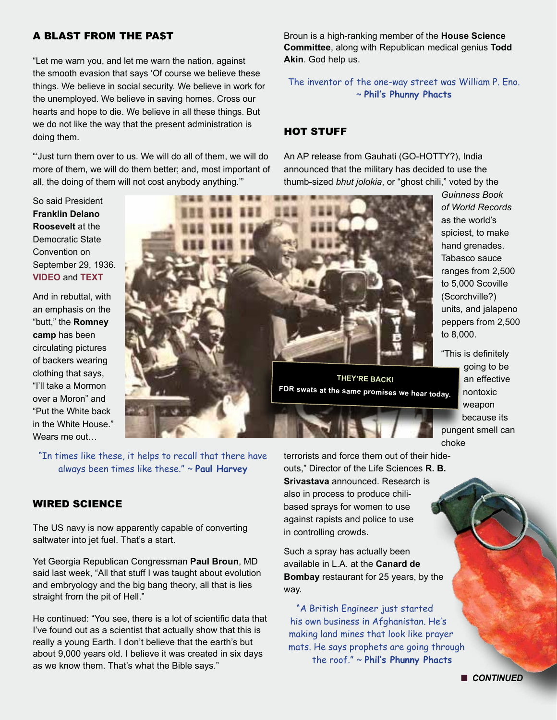# A BLAST FROM THE PA\$T

"Let me warn you, and let me warn the nation, against the smooth evasion that says 'Of course we believe these things. We believe in social security. We believe in work for the unemployed. We believe in saving homes. Cross our hearts and hope to die. We believe in all these things. But we do not like the way that the present administration is doing them.

"'Just turn them over to us. We will do all of them, we will do more of them, we will do them better; and, most important of all, the doing of them will not cost anybody anything.'"

So said President **Franklin Delano Roosevelt** at the Democratic State Convention on September 29, 1936. **VIDEO** and **[TEXT](http://www.presidency.ucsb.edu/ws/index.php?pid=15142)**

And in rebuttal, with an emphasis on the "butt," the **Romney camp** has been circulating pictures of backers wearing clothing that says, "I'll take a Mormon over a Moron" and "Put the White back in the White House." Wears me out…



"In times like these, it helps to recall that there have always been times like these." ~ **Paul Harvey**

#### WIRED SCIENCE

The US navy is now apparently capable of converting saltwater into jet fuel. That's a start.

Yet Georgia Republican Congressman **Paul Broun**, MD said last week, "All that stuff I was taught about evolution and embryology and the big bang theory, all that is lies straight from the pit of Hell."

He continued: "You see, there is a lot of scientific data that I've found out as a scientist that actually show that this is really a young Earth. I don't believe that the earth's but about 9,000 years old. I believe it was created in six days as we know them. That's what the Bible says."

terrorists and force them out of their hideouts," Director of the Life Sciences **R. B. Srivastava** announced. Research is also in process to produce chilibased sprays for women to use against rapists and police to use in controlling crowds.

Such a spray has actually been available in L.A. at the **Canard de Bombay** restaurant for 25 years, by the way.

"A British Engineer just started his own business in Afghanistan. He's making land mines that look like prayer mats. He says prophets are going through the roof." ~ **Phil's Phunny Phacts**

Broun is a high-ranking member of the **House Science Committee**, along with Republican medical genius **Todd Akin**. God help us.

The inventor of the one-way street was William P. Eno. ~ **Phil's Phunny Phacts** 

#### HOT STUFF

An AP release from Gauhati (GO-HOTTY?), India announced that the military has decided to use the thumb-sized *bhut jolokia*, or "ghost chili," voted by the

> *Guinness Book of World Records* as the world's spiciest, to make hand grenades. Tabasco sauce ranges from 2,500 to 5,000 Scoville (Scorchville?) units, and jalapeno peppers from 2,500 to 8,000.

"This is definitely going to be an effective nontoxic weapon because its pungent smell can choke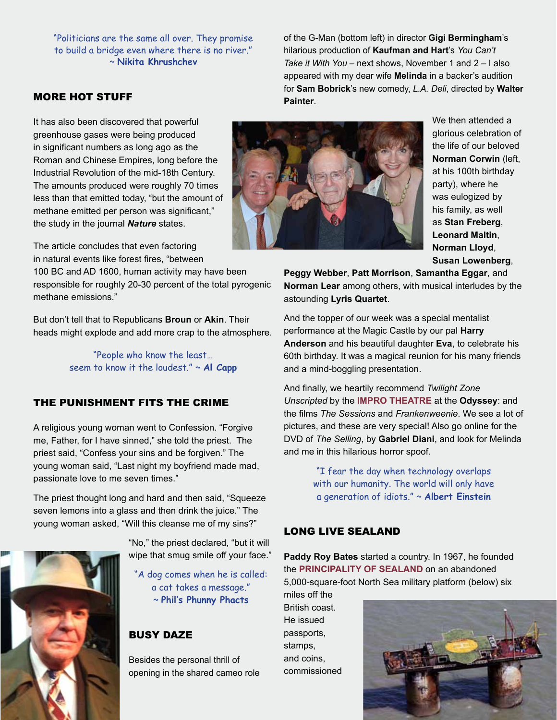"Politicians are the same all over. They promise to build a bridge even where there is no river." ~ **Nikita Khrushchev**

MORE HOT STUFF

It has also been discovered that powerful greenhouse gases were being produced in significant numbers as long ago as the Roman and Chinese Empires, long before the Industrial Revolution of the mid-18th Century. The amounts produced were roughly 70 times less than that emitted today, "but the amount of methane emitted per person was significant," the study in the journal *Nature* states.

The article concludes that even factoring in natural events like forest fires, "between

100 BC and AD 1600, human activity may have been responsible for roughly 20-30 percent of the total pyrogenic methane emissions."

But don't tell that to Republicans **Broun** or **Akin**. Their heads might explode and add more crap to the atmosphere.

> "People who know the least… seem to know it the loudest." ~ **Al Capp**

## THE PUNISHMENT FITS THE CRIME

A religious young woman went to Confession. "Forgive me, Father, for I have sinned," she told the priest. The priest said, "Confess your sins and be forgiven." The young woman said, "Last night my boyfriend made mad, passionate love to me seven times."

The priest thought long and hard and then said, "Squeeze seven lemons into a glass and then drink the juice." The young woman asked, "Will this cleanse me of my sins?"



"No," the priest declared, "but it will wipe that smug smile off your face."

"A dog comes when he is called: a cat takes a message." ~ **Phil's Phunny Phacts**

# BUSY DAZE

Besides the personal thrill of opening in the shared cameo role

of the G-Man (bottom left) in director **Gigi Bermingham**'s hilarious production of **Kaufman and Hart**'s *You Can't Take it With You* – next shows, November 1 and 2 – I also appeared with my dear wife **Melinda** in a backer's audition for **Sam Bobrick**'s new comedy, *L.A. Deli*, directed by **Walter Painter**.



We then attended a glorious celebration of the life of our beloved **Norman Corwin** (left, at his 100th birthday party), where he was eulogized by his family, as well as **Stan Freberg**, **Leonard Maltin**, **Norman Lloyd**, **Susan Lowenberg**,

**Peggy Webber**, **Patt Morrison**, **Samantha Eggar**, and **Norman Lear** among others, with musical interludes by the astounding **Lyris Quartet**.

And the topper of our week was a special mentalist performance at the Magic Castle by our pal **Harry Anderson** and his beautiful daughter **Eva**, to celebrate his 60th birthday. It was a magical reunion for his many friends and a mind-boggling presentation.

And finally, we heartily recommend *Twilight Zone Unscripted* by the **[IMPRO THEATRE](http://improtheatre.com)** at the **Odyssey**: and the films *The Sessions* and *Frankenweenie*. We see a lot of pictures, and these are very special! Also go online for the DVD of *The Selling*, by **Gabriel Diani**, and look for Melinda and me in this hilarious horror spoof.

> "I fear the day when technology overlaps with our humanity. The world will only have a generation of idiots." ~ **Albert Einstein**

# LONG LIVE SEALAND

**Paddy Roy Bates** started a country. In 1967, he founded the **Principality [of Sealand](http://www.sealandgov.org)** on an abandoned 5,000-square-foot North Sea military platform (below) six miles off the

British coast. He issued passports, stamps, and coins, commissioned